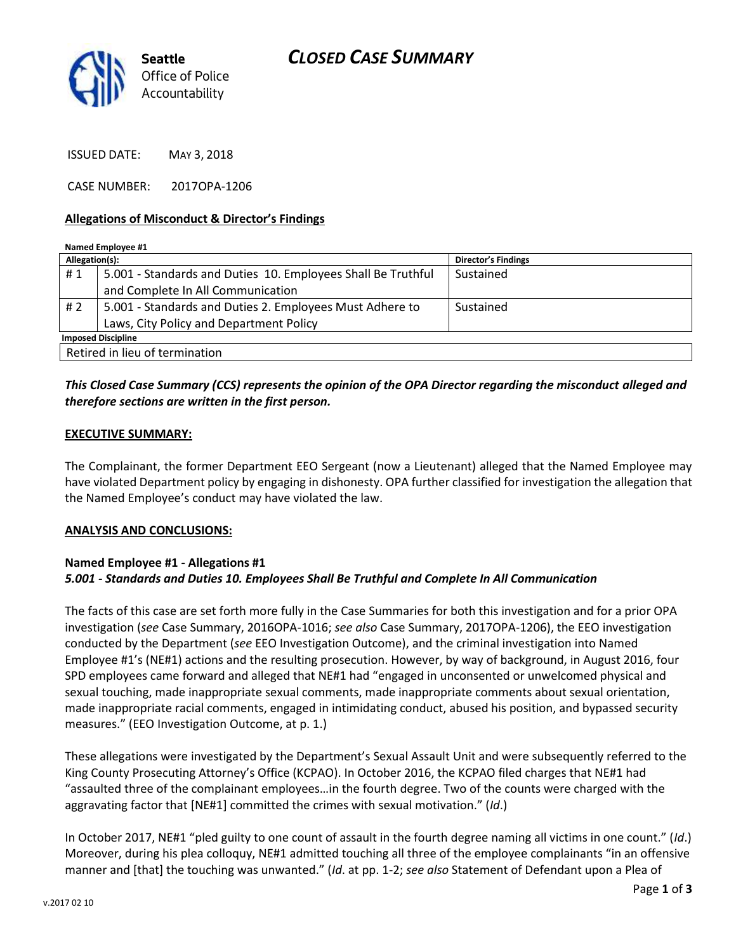

ISSUED DATE: MAY 3, 2018

CASE NUMBER: 2017OPA-1206

#### **Allegations of Misconduct & Director's Findings**

| Named Employee #1              |                                                              |                            |
|--------------------------------|--------------------------------------------------------------|----------------------------|
| Allegation(s):                 |                                                              | <b>Director's Findings</b> |
| #1                             | 5.001 - Standards and Duties 10. Employees Shall Be Truthful | Sustained                  |
|                                | and Complete In All Communication                            |                            |
| # 2                            | 5.001 - Standards and Duties 2. Employees Must Adhere to     | Sustained                  |
|                                | Laws, City Policy and Department Policy                      |                            |
| <b>Imposed Discipline</b>      |                                                              |                            |
| Retired in lieu of termination |                                                              |                            |

## *This Closed Case Summary (CCS) represents the opinion of the OPA Director regarding the misconduct alleged and therefore sections are written in the first person.*

#### **EXECUTIVE SUMMARY:**

The Complainant, the former Department EEO Sergeant (now a Lieutenant) alleged that the Named Employee may have violated Department policy by engaging in dishonesty. OPA further classified for investigation the allegation that the Named Employee's conduct may have violated the law.

#### **ANALYSIS AND CONCLUSIONS:**

#### **Named Employee #1 - Allegations #1** *5.001 - Standards and Duties 10. Employees Shall Be Truthful and Complete In All Communication*

The facts of this case are set forth more fully in the Case Summaries for both this investigation and for a prior OPA investigation (*see* Case Summary, 2016OPA-1016; *see also* Case Summary, 2017OPA-1206), the EEO investigation conducted by the Department (*see* EEO Investigation Outcome), and the criminal investigation into Named Employee #1's (NE#1) actions and the resulting prosecution. However, by way of background, in August 2016, four SPD employees came forward and alleged that NE#1 had "engaged in unconsented or unwelcomed physical and sexual touching, made inappropriate sexual comments, made inappropriate comments about sexual orientation, made inappropriate racial comments, engaged in intimidating conduct, abused his position, and bypassed security measures." (EEO Investigation Outcome, at p. 1.)

These allegations were investigated by the Department's Sexual Assault Unit and were subsequently referred to the King County Prosecuting Attorney's Office (KCPAO). In October 2016, the KCPAO filed charges that NE#1 had "assaulted three of the complainant employees…in the fourth degree. Two of the counts were charged with the aggravating factor that [NE#1] committed the crimes with sexual motivation." (*Id*.)

In October 2017, NE#1 "pled guilty to one count of assault in the fourth degree naming all victims in one count." (*Id*.) Moreover, during his plea colloquy, NE#1 admitted touching all three of the employee complainants "in an offensive manner and [that] the touching was unwanted." (*Id*. at pp. 1-2; *see also* Statement of Defendant upon a Plea of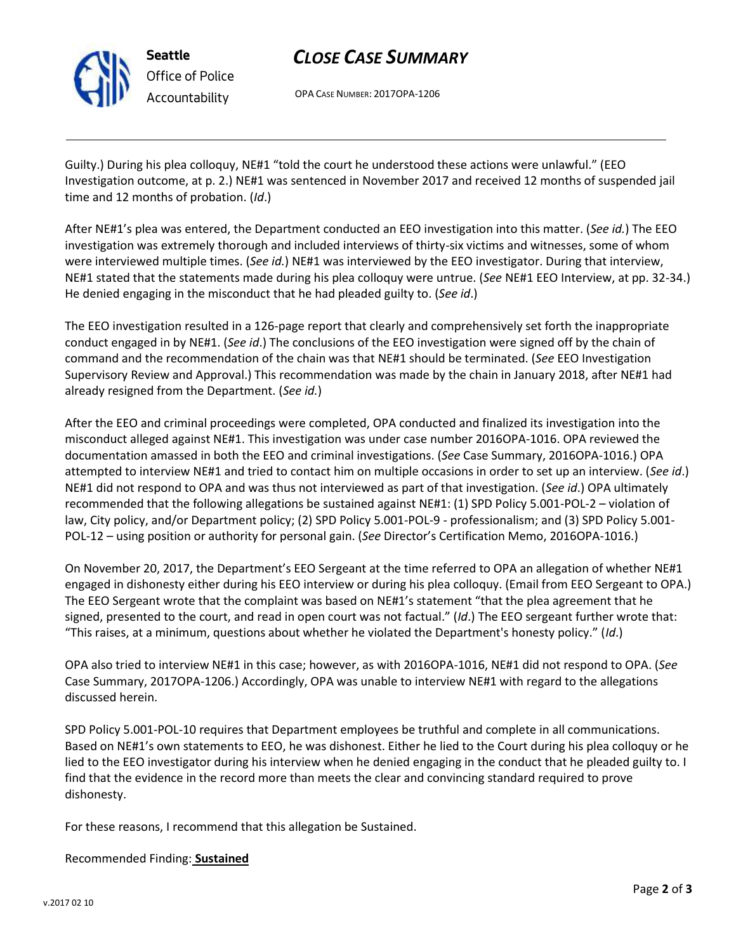

*Office of Police Accountability*

## *CLOSE CASE SUMMARY*

OPA CASE NUMBER: 2017OPA-1206

Guilty.) During his plea colloquy, NE#1 "told the court he understood these actions were unlawful." (EEO Investigation outcome, at p. 2.) NE#1 was sentenced in November 2017 and received 12 months of suspended jail time and 12 months of probation. (*Id*.)

After NE#1's plea was entered, the Department conducted an EEO investigation into this matter. (*See id.*) The EEO investigation was extremely thorough and included interviews of thirty-six victims and witnesses, some of whom were interviewed multiple times. (*See id.*) NE#1 was interviewed by the EEO investigator. During that interview, NE#1 stated that the statements made during his plea colloquy were untrue. (*See* NE#1 EEO Interview, at pp. 32-34.) He denied engaging in the misconduct that he had pleaded guilty to. (*See id*.)

The EEO investigation resulted in a 126-page report that clearly and comprehensively set forth the inappropriate conduct engaged in by NE#1. (*See id*.) The conclusions of the EEO investigation were signed off by the chain of command and the recommendation of the chain was that NE#1 should be terminated. (*See* EEO Investigation Supervisory Review and Approval.) This recommendation was made by the chain in January 2018, after NE#1 had already resigned from the Department. (*See id.*)

After the EEO and criminal proceedings were completed, OPA conducted and finalized its investigation into the misconduct alleged against NE#1. This investigation was under case number 2016OPA-1016. OPA reviewed the documentation amassed in both the EEO and criminal investigations. (*See* Case Summary, 2016OPA-1016.) OPA attempted to interview NE#1 and tried to contact him on multiple occasions in order to set up an interview. (*See id*.) NE#1 did not respond to OPA and was thus not interviewed as part of that investigation. (*See id*.) OPA ultimately recommended that the following allegations be sustained against NE#1: (1) SPD Policy 5.001-POL-2 – violation of law, City policy, and/or Department policy; (2) SPD Policy 5.001-POL-9 - professionalism; and (3) SPD Policy 5.001- POL-12 – using position or authority for personal gain. (*See* Director's Certification Memo, 2016OPA-1016.)

On November 20, 2017, the Department's EEO Sergeant at the time referred to OPA an allegation of whether NE#1 engaged in dishonesty either during his EEO interview or during his plea colloquy. (Email from EEO Sergeant to OPA.) The EEO Sergeant wrote that the complaint was based on NE#1's statement "that the plea agreement that he signed, presented to the court, and read in open court was not factual." (*Id*.) The EEO sergeant further wrote that: "This raises, at a minimum, questions about whether he violated the Department's honesty policy." (*Id*.)

OPA also tried to interview NE#1 in this case; however, as with 2016OPA-1016, NE#1 did not respond to OPA. (*See* Case Summary, 2017OPA-1206.) Accordingly, OPA was unable to interview NE#1 with regard to the allegations discussed herein.

SPD Policy 5.001-POL-10 requires that Department employees be truthful and complete in all communications. Based on NE#1's own statements to EEO, he was dishonest. Either he lied to the Court during his plea colloquy or he lied to the EEO investigator during his interview when he denied engaging in the conduct that he pleaded guilty to. I find that the evidence in the record more than meets the clear and convincing standard required to prove dishonesty.

For these reasons, I recommend that this allegation be Sustained.

## Recommended Finding: **Sustained**